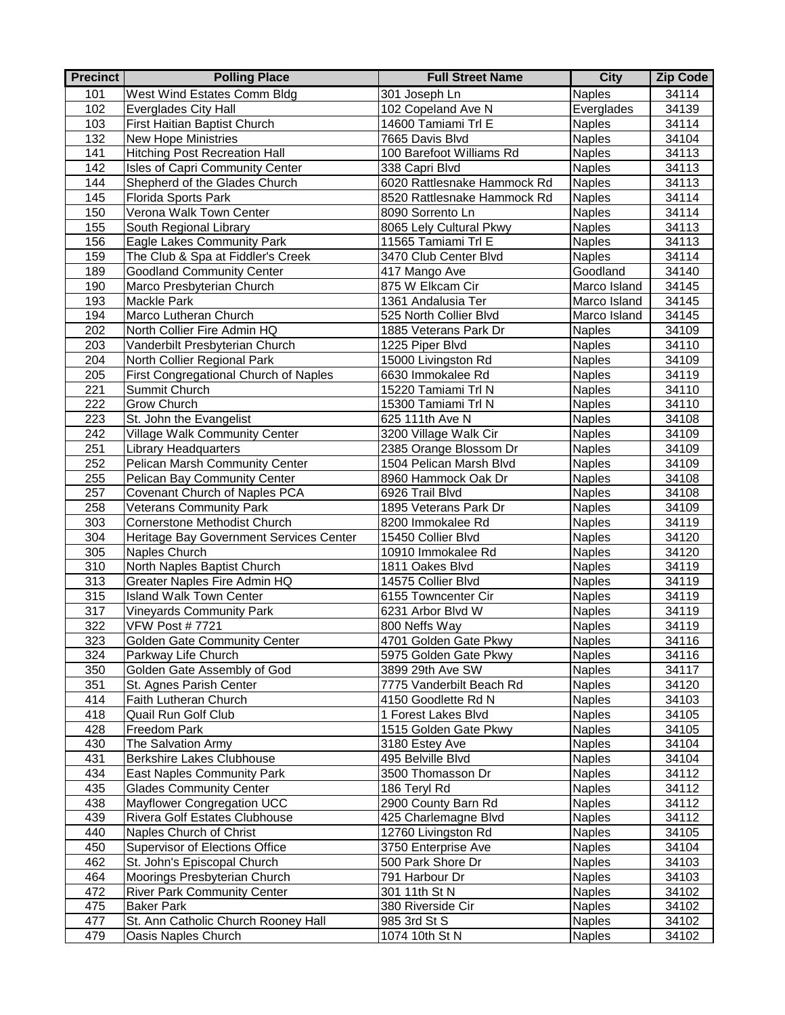| <b>Precinct</b> | <b>Polling Place</b>                               | <b>Full Street Name</b>                   | <b>City</b>                    | <b>Zip Code</b> |
|-----------------|----------------------------------------------------|-------------------------------------------|--------------------------------|-----------------|
| 101             | West Wind Estates Comm Bldg                        | 301 Joseph Ln                             | <b>Naples</b>                  | 34114           |
| 102             | Everglades City Hall                               | 102 Copeland Ave N                        | Everglades                     | 34139           |
| 103             | First Haitian Baptist Church                       | 14600 Tamiami Trl E                       | <b>Naples</b>                  | 34114           |
| 132             | <b>New Hope Ministries</b>                         | 7665 Davis Blvd                           | <b>Naples</b>                  | 34104           |
| 141             | <b>Hitching Post Recreation Hall</b>               | 100 Barefoot Williams Rd                  | <b>Naples</b>                  | 34113           |
| 142             | Isles of Capri Community Center                    | 338 Capri Blvd                            | <b>Naples</b>                  | 34113           |
| 144             | Shepherd of the Glades Church                      | 6020 Rattlesnake Hammock Rd               | Naples                         | 34113           |
| 145             | Florida Sports Park                                | 8520 Rattlesnake Hammock Rd               | <b>Naples</b>                  | 34114           |
| 150             | Verona Walk Town Center                            | 8090 Sorrento Ln                          | <b>Naples</b>                  | 34114           |
| 155             | South Regional Library                             | 8065 Lely Cultural Pkwy                   | <b>Naples</b>                  | 34113           |
| 156             | Eagle Lakes Community Park                         | 11565 Tamiami Trl E                       | <b>Naples</b>                  | 34113           |
| 159             | The Club & Spa at Fiddler's Creek                  | 3470 Club Center Blvd                     | <b>Naples</b>                  | 34114           |
| 189             | <b>Goodland Community Center</b>                   | 417 Mango Ave                             | Goodland                       | 34140           |
| 190             | Marco Presbyterian Church                          | 875 W Elkcam Cir                          | Marco Island                   | 34145           |
| 193             | Mackle Park                                        | 1361 Andalusia Ter                        | Marco Island                   | 34145           |
| 194             | Marco Lutheran Church                              | 525 North Collier Blvd                    | Marco Island                   | 34145           |
| 202             | North Collier Fire Admin HQ                        | 1885 Veterans Park Dr                     | <b>Naples</b>                  | 34109           |
| 203             | Vanderbilt Presbyterian Church                     | 1225 Piper Blvd                           | <b>Naples</b>                  | 34110           |
| 204             | North Collier Regional Park                        | 15000 Livingston Rd                       | <b>Naples</b>                  | 34109           |
| 205             | First Congregational Church of Naples              | 6630 Immokalee Rd                         | <b>Naples</b>                  | 34119           |
| 221             | Summit Church                                      | 15220 Tamiami Trl N                       | <b>Naples</b>                  | 34110           |
| 222             | Grow Church                                        | 15300 Tamiami Trl N                       | <b>Naples</b>                  | 34110           |
| 223             | St. John the Evangelist                            | 625 111th Ave N                           | <b>Naples</b>                  | 34108           |
| 242             | Village Walk Community Center                      | 3200 Village Walk Cir                     | <b>Naples</b>                  | 34109           |
| 251             | <b>Library Headquarters</b>                        | 2385 Orange Blossom Dr                    | <b>Naples</b>                  | 34109           |
| 252             | Pelican Marsh Community Center                     | 1504 Pelican Marsh Blvd                   | <b>Naples</b>                  | 34109           |
| 255             | Pelican Bay Community Center                       | 8960 Hammock Oak Dr                       | <b>Naples</b>                  | 34108           |
| 257             | Covenant Church of Naples PCA                      | 6926 Trail Blvd                           | <b>Naples</b>                  | 34108           |
| 258             | <b>Veterans Community Park</b>                     | 1895 Veterans Park Dr                     | <b>Naples</b>                  | 34109           |
| 303             | <b>Cornerstone Methodist Church</b>                | 8200 Immokalee Rd                         | <b>Naples</b>                  | 34119           |
| 304             | Heritage Bay Government Services Center            | 15450 Collier Blvd                        | <b>Naples</b>                  | 34120           |
| 305             | Naples Church                                      | 10910 Immokalee Rd                        | <b>Naples</b>                  | 34120           |
| 310             | North Naples Baptist Church                        | 1811 Oakes Blvd                           | <b>Naples</b>                  | 34119           |
| 313             | Greater Naples Fire Admin HQ                       | 14575 Collier Blvd                        | <b>Naples</b>                  | 34119           |
| 315             | <b>Island Walk Town Center</b>                     | 6155 Towncenter Cir                       | <b>Naples</b>                  | 34119           |
| 317<br>322      | <b>Vineyards Community Park</b>                    | 6231 Arbor Blvd W                         | <b>Naples</b><br><b>Naples</b> | 34119           |
| 323             | <b>VFW Post #7721</b>                              | 800 Neffs Way<br>4701 Golden Gate Pkwy    |                                | 34119           |
|                 | <b>Golden Gate Community Center</b>                |                                           | <b>Naples</b><br><b>Naples</b> | 34116           |
| 324<br>350      | Parkway Life Church<br>Golden Gate Assembly of God | 5975 Golden Gate Pkwy<br>3899 29th Ave SW | Naples                         | 34116<br>34117  |
| 351             | St. Agnes Parish Center                            | 7775 Vanderbilt Beach Rd                  | <b>Naples</b>                  | 34120           |
| 414             | Faith Lutheran Church                              | 4150 Goodlette Rd N                       | <b>Naples</b>                  | 34103           |
| 418             | Quail Run Golf Club                                | 1 Forest Lakes Blvd                       | Naples                         | 34105           |
| 428             | Freedom Park                                       | 1515 Golden Gate Pkwy                     | <b>Naples</b>                  | 34105           |
| 430             | The Salvation Army                                 | 3180 Estey Ave                            | Naples                         | 34104           |
| 431             | Berkshire Lakes Clubhouse                          | 495 Belville Blvd                         | <b>Naples</b>                  | 34104           |
| 434             | <b>East Naples Community Park</b>                  | 3500 Thomasson Dr                         | <b>Naples</b>                  | 34112           |
| 435             | <b>Glades Community Center</b>                     | 186 Teryl Rd                              | <b>Naples</b>                  | 34112           |
| 438             | Mayflower Congregation UCC                         | 2900 County Barn Rd                       | <b>Naples</b>                  | 34112           |
| 439             | Rivera Golf Estates Clubhouse                      | 425 Charlemagne Blvd                      | <b>Naples</b>                  | 34112           |
| 440             | Naples Church of Christ                            | 12760 Livingston Rd                       | <b>Naples</b>                  | 34105           |
| 450             | <b>Supervisor of Elections Office</b>              | 3750 Enterprise Ave                       | <b>Naples</b>                  | 34104           |
| 462             | St. John's Episcopal Church                        | 500 Park Shore Dr                         | <b>Naples</b>                  | 34103           |
| 464             | Moorings Presbyterian Church                       | 791 Harbour Dr                            | <b>Naples</b>                  | 34103           |
| 472             | <b>River Park Community Center</b>                 | 301 11th St N                             | <b>Naples</b>                  | 34102           |
| 475             | <b>Baker Park</b>                                  | 380 Riverside Cir                         | <b>Naples</b>                  | 34102           |
| 477             | St. Ann Catholic Church Rooney Hall                | 985 3rd St S                              | <b>Naples</b>                  | 34102           |
| 479             | Oasis Naples Church                                | 1074 10th St N                            | <b>Naples</b>                  | 34102           |